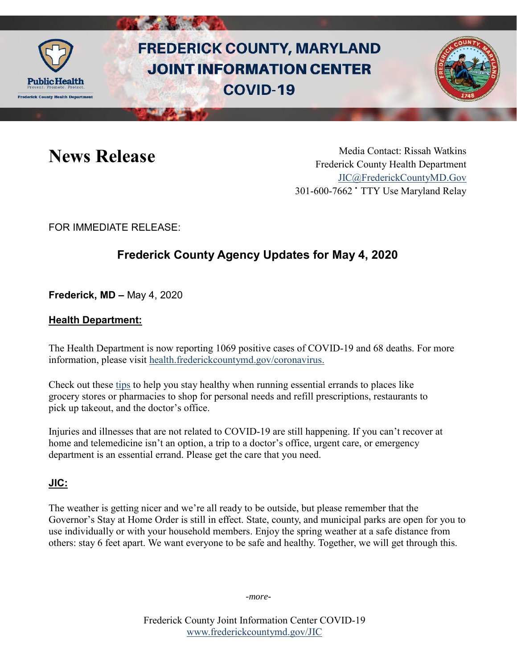

# **FREDERICK COUNTY, MARYLAND JOINT INFORMATION CENTER COVID-19**



News Release Media Contact: Rissah Watkins Frederick County Health Department [JIC@FrederickCountyMD.Gov](mailto:JIC@FrederickCountyMD.Gov) 301-600-7662 • TTY Use Maryland Relay

FOR IMMEDIATE RELEASE:

## **Frederick County Agency Updates for May 4, 2020**

**Frederick, MD –** May 4, 2020

### **Health Department:**

The Health Department is now reporting 1069 positive cases of COVID-19 and 68 deaths. For more information, please visit [health.frederickcountymd.gov/coronavirus.](https://health.frederickcountymd.gov/614/Novel-Coronavirus-COVID-19)

Check out these [tips](https://blogs.cdc.gov/publichealthmatters/2020/04/essential-errands/?platform=hootsuite) to help you stay healthy when running essential errands to places like grocery stores or pharmacies to shop for personal needs and refill prescriptions, restaurants to pick up takeout, and the doctor's office.

Injuries and illnesses that are not related to COVID-19 are still happening. If you can't recover at home and telemedicine isn't an option, a trip to a doctor's office, urgent care, or emergency department is an essential errand. Please get the care that you need.

### **JIC:**

The weather is getting nicer and we're all ready to be outside, but please remember that the Governor's Stay at Home Order is still in effect. State, county, and municipal parks are open for you to use individually or with your household members. Enjoy the spring weather at a safe distance from others: stay 6 feet apart. We want everyone to be safe and healthy. Together, we will get through this.

-*more-*

Frederick County Joint Information Center COVID-19 [www.frederickcountymd.gov/JIC](https://frederickcountymd.gov/JIC)